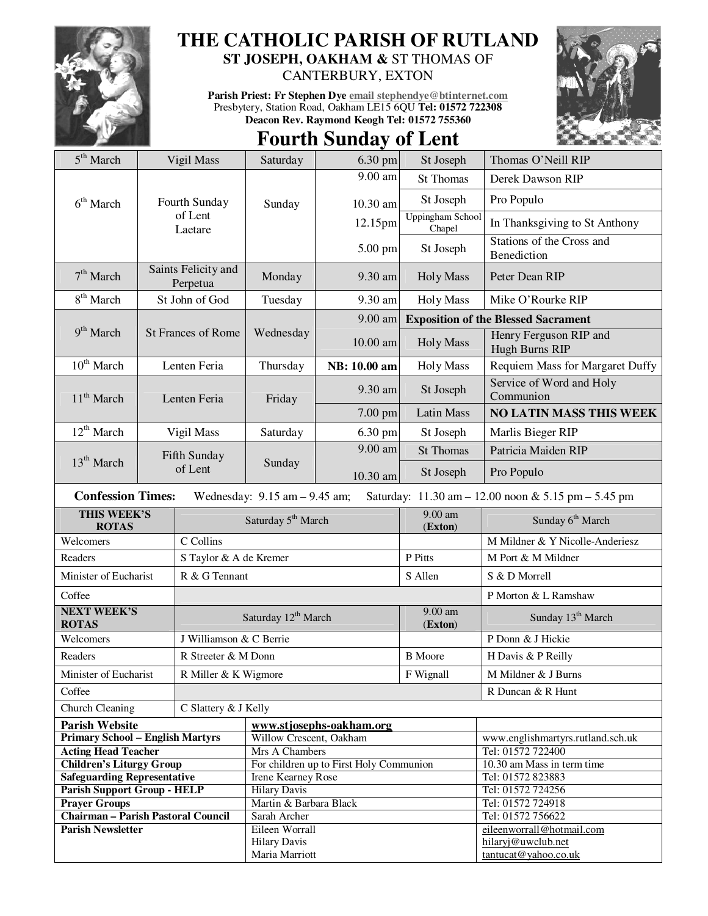

## **THE CATHOLIC PARISH OF RUTLAND ST JOSEPH, OAKHAM &** ST THOMAS OF CANTERBURY, EXTON

**Parish Priest: Fr Stephen Dye email stephendye@btinternet.com** Presbytery, Station Road, Oakham LE15 6QU **Tel: 01572 722308 Deacon Rev. Raymond Keogh Tel: 01572 755360** 



## **Fourth Sunday of Lent**

| $5th$ March                                                                                                          | Vigil Mass                                                   |                           | Saturday                                  | 6.30 pm      | St Joseph                         | Thomas O'Neill RIP                         |  |
|----------------------------------------------------------------------------------------------------------------------|--------------------------------------------------------------|---------------------------|-------------------------------------------|--------------|-----------------------------------|--------------------------------------------|--|
|                                                                                                                      | 6 <sup>th</sup> March<br>Fourth Sunday<br>of Lent<br>Laetare |                           | Sunday                                    | 9.00 am      | <b>St Thomas</b>                  | Derek Dawson RIP                           |  |
|                                                                                                                      |                                                              |                           |                                           | 10.30 am     | St Joseph                         | Pro Populo                                 |  |
|                                                                                                                      |                                                              |                           |                                           | 12.15pm      | <b>Uppingham School</b><br>Chapel | In Thanksgiving to St Anthony              |  |
|                                                                                                                      |                                                              |                           |                                           | 5.00 pm      | St Joseph                         | Stations of the Cross and<br>Benediction   |  |
| $7th$ March                                                                                                          | Saints Felicity and<br>Perpetua                              |                           | Monday                                    | 9.30 am      | <b>Holy Mass</b>                  | Peter Dean RIP                             |  |
| $8th$ March                                                                                                          | St John of God                                               |                           | Tuesday                                   | 9.30 am      | <b>Holy Mass</b>                  | Mike O'Rourke RIP                          |  |
|                                                                                                                      |                                                              |                           | Wednesday                                 | 9.00 am      |                                   | <b>Exposition of the Blessed Sacrament</b> |  |
| $9th$ March                                                                                                          |                                                              | <b>St Frances of Rome</b> |                                           | $10.00$ am   | <b>Holy Mass</b>                  | Henry Ferguson RIP and<br>Hugh Burns RIP   |  |
| $10^{th}$ March                                                                                                      |                                                              | Lenten Feria              | Thursday                                  | NB: 10.00 am | <b>Holy Mass</b>                  | Requiem Mass for Margaret Duffy            |  |
| 11 <sup>th</sup> March                                                                                               | Lenten Feria                                                 |                           | Friday                                    | 9.30 am      | St Joseph                         | Service of Word and Holy<br>Communion      |  |
|                                                                                                                      |                                                              |                           |                                           | 7.00 pm      | <b>Latin Mass</b>                 | <b>NO LATIN MASS THIS WEEK</b>             |  |
| $12th$ March                                                                                                         |                                                              | Vigil Mass                | Saturday                                  | 6.30 pm      | St Joseph                         | Marlis Bieger RIP                          |  |
|                                                                                                                      | Fifth Sunday<br>13 <sup>th</sup> March<br>of Lent            |                           | Sunday                                    | 9.00 am      | St Thomas                         | Patricia Maiden RIP                        |  |
|                                                                                                                      |                                                              |                           |                                           | 10.30 am     | St Joseph                         | Pro Populo                                 |  |
| <b>Confession Times:</b><br>Wednesday: $9.15$ am $- 9.45$ am;<br>Saturday: 11.30 am - 12.00 noon & 5.15 pm - 5.45 pm |                                                              |                           |                                           |              |                                   |                                            |  |
| THIS WEEK'S<br><b>ROTAS</b>                                                                                          |                                                              |                           | Saturday 5 <sup>th</sup> March            |              | $9.00$ am<br>(Exton)              | Sunday 6 <sup>th</sup> March               |  |
| Welcomers                                                                                                            | C Collins                                                    |                           |                                           |              |                                   | M Mildner & Y Nicolle-Anderiesz            |  |
| Readers<br>S Taylor & A de Kremer                                                                                    |                                                              |                           |                                           | P Pitts      | M Port & M Mildner                |                                            |  |
|                                                                                                                      | Minister of Eucharist<br>R & G Tennant                       |                           |                                           |              | S Allen                           | S & D Morrell                              |  |
| Coffee                                                                                                               |                                                              |                           |                                           |              |                                   | P Morton & L Ramshaw                       |  |
| <b>ROTAS</b>                                                                                                         | <b>NEXT WEEK'S</b>                                           |                           | Saturday 12 <sup>th</sup> March           |              | 9.00 am<br>(Exton)                | Sunday 13 <sup>th</sup> March              |  |
| Welcomers                                                                                                            | J Williamson & C Berrie                                      |                           |                                           |              |                                   | P Donn & J Hickie                          |  |
| Readers                                                                                                              |                                                              | R Streeter & M Donn       |                                           |              | <b>B</b> Moore                    | H Davis & P Reilly                         |  |
| Minister of Eucharist<br>R Miller & K Wigmore                                                                        |                                                              |                           |                                           | F Wignall    | M Mildner & J Burns               |                                            |  |
| Coffee                                                                                                               |                                                              |                           |                                           |              | R Duncan & R Hunt                 |                                            |  |
| Church Cleaning                                                                                                      | C Slattery & J Kelly                                         |                           |                                           |              |                                   |                                            |  |
| <b>Parish Website</b>                                                                                                |                                                              |                           | www.stjosephs-oakham.org                  |              |                                   |                                            |  |
| <b>Primary School - English Martyrs</b>                                                                              |                                                              |                           | Willow Crescent, Oakham                   |              |                                   | www.englishmartyrs.rutland.sch.uk          |  |
| <b>Acting Head Teacher</b>                                                                                           |                                                              |                           | Mrs A Chambers                            |              |                                   | Tel: 01572 722400                          |  |
| <b>Children's Liturgy Group</b>                                                                                      |                                                              |                           | For children up to First Holy Communion   |              |                                   | 10.30 am Mass in term time                 |  |
| <b>Safeguarding Representative</b>                                                                                   |                                                              |                           | Irene Kearney Rose<br><b>Hilary Davis</b> |              |                                   | Tel: 01572 823883<br>Tel: 01572 724256     |  |
| <b>Parish Support Group - HELP</b><br><b>Prayer Groups</b>                                                           |                                                              |                           | Martin & Barbara Black                    |              |                                   | Tel: 01572 724918                          |  |
| <b>Chairman - Parish Pastoral Council</b>                                                                            |                                                              |                           | Sarah Archer                              |              |                                   | Tel: 01572 756622                          |  |
| <b>Parish Newsletter</b>                                                                                             |                                                              |                           | Eileen Worrall                            |              |                                   | eileenworrall@hotmail.com                  |  |
|                                                                                                                      |                                                              |                           | <b>Hilary Davis</b>                       |              |                                   |                                            |  |
|                                                                                                                      |                                                              |                           |                                           |              |                                   | hilaryj@uwclub.net                         |  |